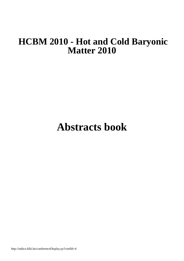## **HCBM 2010 - Hot and Cold Baryonic Matter 2010**

# **Abstracts book**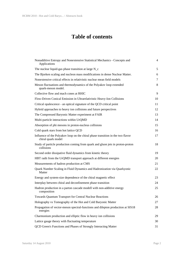### **Table of contents**

| Nonadditive Entropy and Nonextensive Statistical Mechanics - Concepts and<br><b>Applications</b>      | 4  |
|-------------------------------------------------------------------------------------------------------|----|
| The nuclear liquid-gas phase transition at large N_c                                                  | 5  |
| The Bjorken scaling and nucleon mass modifications in dense Nuclear Matter.                           | 6  |
| Nonextensive critical effects in relativistic nuclear mean field models                               | 7  |
| Meson fluctuations and thermodynamics of the Polyakov loop extended<br>quark-meson model.             | 8  |
| Collective flow and mach cones at RHIC                                                                | 9  |
| Flow-Driven Conical Emission in Ultrarelativistic Heavy-Ion Collisions                                | 10 |
| Critical opalescence - an optical signature of the QCD critical point                                 | 11 |
| Hybrid approaches to heavy ion collisions and future perspectives                                     | 12 |
| The Compressed Baryonic Matter experiment at FAIR                                                     | 13 |
| Multi-particle interactions within UrQMD                                                              | 14 |
| Absorption of phi mesons in proton-nucleus collisions                                                 | 15 |
| Cold quark stars from hot lattice QCD                                                                 | 16 |
| Influence of the Polyakov loop on the chiral phase transition in the two flavor<br>chiral quark model | 17 |
| Study of particle production coming from quark and gluon jets in proton-proton<br>collisions          | 18 |
| Second order dissipative fluid dynamics from kinetic theory                                           | 19 |
| HBT radii from the UrQMD transport approach at different energies                                     | 20 |
| Measurements of hadron production at CMS                                                              | 21 |
| Quark Number Scaling in Fluid Dynamics and Hadronization via Quarkyonic<br><b>Matter</b>              | 22 |
| Energy and system-size dependence of the chiral magnetic effect                                       | 23 |
| Interplay between chiral and deconfinement phase transition                                           | 24 |
| Hadron production in a parton cascade modell with non-additive energy<br>composition                  | 25 |
| Towards Quantum Transport for Central Nuclear Reactions                                               | 26 |
| Holography vs Tomography of the Hot and Cold Baryonic Matter                                          | 27 |
| Propagation of vector-meson spectral-functions and dilepton production at SIS18<br>energies           | 28 |
| Charmonium production and elliptic flow in heavy ion collisions                                       | 29 |
| Lattice gauge theory with fluctuating temperature                                                     | 30 |
| QCD Green's Functions and Phases of Strongly Interacting Matter                                       | 31 |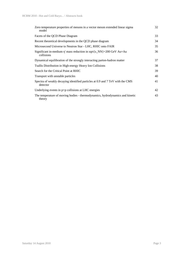| Zero temperature properties of mesons in a vector meson extended linear sigma<br>model    | 32 |
|-------------------------------------------------------------------------------------------|----|
| Facets of the QCD Phase Diagram                                                           | 33 |
| Recent theoretical developments in the QCD phase diagram                                  | 34 |
| Microsecond Universe to Neutron Star - LHC, RHIC onto FAIR                                | 35 |
| Significant in-medium $\eta'$ mass reduction in sqrt{s_NN}=200 GeV Au+Au<br>collisions    | 36 |
| Dynamical equilibration of the strongly interacting parton-hadron matter                  | 37 |
| Tsallis Distribution in High-energy Heavy Ion Collisions                                  | 38 |
| Search for the Critical Point at RHIC                                                     | 39 |
| Transport with unstable particles                                                         | 40 |
| Spectra of weakly decaying identified particles at 0.9 and 7 TeV with the CMS<br>detector | 41 |
| Underlying events in $p+p$ collisions at LHC energies                                     | 42 |
| The temperature of moving bodies - thermodynamics, hydrodynamics and kinetic<br>theory    | 43 |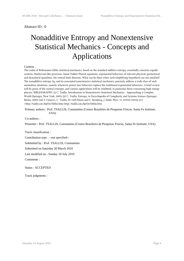## Nonadditive Entropy and Nonextensive Statistical Mechanics - Concepts and Applications

#### Content :

The realm of Boltzmann-Gibbs statistical mechanics, based on the standard additive entropy, essentially concerns ergodic systems, Markovian-like processes, linear Fokker-Planck equations, exponential behaviors of relevant physical, geometrical and dynamical quantities, the central limit theorem. What can be done when such simplifying hypothesis are not satisfied? The nonadditive entropy Sq, and its associated nonextensive statistical mechanics, precisely address a wide class of such anomalous situations, namely whenever power-law behaviors replace the traditional exponential behaviors. A brief review will be given of the central concepts, and various applications will be exhibited, in particular those concerning high energy physics. BIBLIOGRAPHY: (i) C. Tsallis, Introduction to Nonextensive Statistical Mechanics - Approaching a Complex World (Springer, New York, 2009); (ii) C. Tsallis, Entropy, in Encyclopedia of Complexity and Systems Science (Springer, Berlin, 2009); (iii) S. Umarov, C. Tsallis, M. Gell-Mann and S. Steinberg, J. Math. Phys. 51, 033502 (2010); (iv) <http://tsallis.cat.cbpf.br/biblio.htm>http://tsallis.cat.cbpf.br/biblio.htm

 Primary authors : Prof. TSALLIS, Constantino (Centro Brasileiro de Pesquisas Fisicas, Santa Fe Institute, USA)

Co-authors :

Presenter : Prof. TSALLIS, Constantino (Centro Brasileiro de Pesquisas Fisicas, Santa Fe Institute, USA)

Track classification :

Contribution type : --not specified--

Submitted by : Prof. TSALLIS, Constantino

Submitted on Saturday 20 March 2010

Last modified on : Sunday 18 July 2010

Comments :

Status : ACCEPTED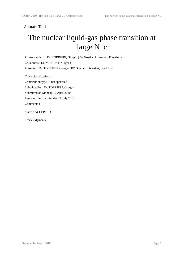## The nuclear liquid-gas phase transition at large N\_c

 Primary authors : Dr. TORRIERI, Giorgio (JW Goethe Universitat, Frankfurt) Co-authors : Dr. MISHUSTIN, Igor () Presenter : Dr. TORRIERI, Giorgio (JW Goethe Universitat, Frankfurt)

Track classification :

 Contribution type : --not specified-- Submitted by : Dr. TORRIERI, Giorgio Submitted on Monday 12 April 2010 Last modified on : Sunday 18 July 2010 Comments :

Status : ACCEPTED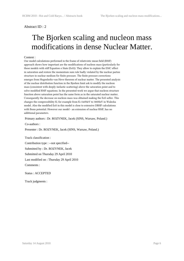## The Bjorken scaling and nucleon mass modifications in dense Nuclear Matter.

#### Content :

Our model calculations performed in the frame of relativistic mean field (RMF) approach shows how important are the modifications of nucleon mass (particularly for those models with stiff Equation o State (EoS)). They allow to explain the EMC effect in saturation and restore the momentum sum rule badly violated by the nuclear parton structure in nuclear medium for finite pressure. The finite pressure corrections emerges from Hugenholtz-van Hove theorem of nuclear matter. The presented analysis of the nuclear distribution function in the Bjorken limit ask to modify the nucleon mass (consistent with deeply inelastic scattering) above the saturation point and to solve modified RMF equations. In the presented work we argue that nucleon structure function above saturation point has the same form as in the saturated nuclear matter. Consequently the decrease on nucleon mass was obtained making the EoS softer. This changes the compressibility K; for example from K=540MeV to 300MeV in Walecka model. Also the modified EoS in this model is close to extensive DBHF calculations with Bonn potential. However our model - an extension of nuclear RMF, has no additional parameters.

Primary authors : Dr. ROZYNEK, Jacek (SINS, Warsaw, Poland.)

Co-authors :

Presenter : Dr. ROZYNEK, Jacek (SINS, Warsaw, Poland.)

Track classification :

 Contribution type : --not specified-- Submitted by : Dr. ROZYNEK, Jacek Submitted on Thursday 29 April 2010 Last modified on : Thursday 29 April 2010 Comments :

Status : ACCEPTED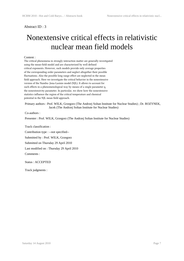## Nonextensive critical effects in relativistic nuclear mean field models

#### Content :

The critical phenomena in strongly interaction matter are generally investigated using the mean-field model and are characterized by well defined critical exponents. However, such models provide only average properties of the corresponding order parameters and neglect altogether their possible fluctuations. Also the possible long range effect are neglected in the mean field approach. Here we investigate the critical behavior in the nonextensive version of the Nambu–Jona-Lasinio model (NJL). It allows to account for such effects in a phenomenological way by means of a single parameter q, the nonextensivity parameter. In particular, we show how the nonextensive statistics influence the region of the critical temperature and chemical potential in the NJL mean field approach.

 Primary authors : Prof. WILK, Grzegorz (The Andrzej Soltan Institute for Nuclear Studies) ; Dr. ROZYNEK, Jacek (The Andrzej Soltan Institute for Nuclear Studies)

Co-authors :

Presenter : Prof. WILK, Grzegorz (The Andrzej Soltan Institute for Nuclear Studies)

Track classification :

Contribution type : --not specified--

Submitted by : Prof. WILK, Grzegorz

Submitted on Thursday 29 April 2010

Last modified on : Thursday 29 April 2010

Comments :

Status : ACCEPTED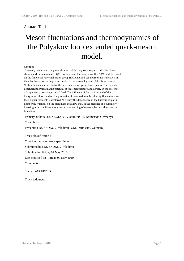## Meson fluctuations and thermodynamics of the Polyakov loop extended quark-meson model.

#### Content :

Thermodynamics and the phase structure of the Polyakov loop-extended two flavor chiral quark-meson model (PQM) are explored. The analysis of the PQM model is based on the functional renormalization group (FRG) method. An appropriate truncation of the effective action with quarks coupled to background gluonic fields is introduced. Within this scheme, we derive the renormalization group flow equation for the scaledependent thermodynamic potential at finite temperature and density in the presence of a symmetry breaking external field. The influence of fluctuations and of the background gluon field on the properties of net-quark number density fluctuations and their higher moments is explored. We study the dependence of the kurtosis of quark number fluctuations on the pion mass and show that, in the presence of a symmetry breaking term, the fluctuations lead to a smoothing of observables near the crossover transition.

Primary authors : Dr. SKOKOV, Vladimir (GSI, Darmstadt, Germany)

Co-authors :

Presenter : Dr. SKOKOV, Vladimir (GSI, Darmstadt, Germany)

Track classification :

Contribution type : --not specified--

Submitted by : Dr. SKOKOV, Vladimir

Submitted on Friday 07 May 2010

Last modified on : Friday 07 May 2010

Comments :

Status : ACCEPTED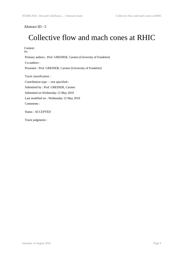## Collective flow and mach cones at RHIC

Content : tba Primary authors : Prof. GREINER, Carsten (University of Frankfurt) Co-authors : Presenter : Prof. GREINER, Carsten (University of Frankfurt) Track classification : Contribution type : --not specified-- Submitted by : Prof. GREINER, Carsten Submitted on Wednesday 12 May 2010 Last modified on : Wednesday 12 May 2010 Comments : Status : ACCEPTED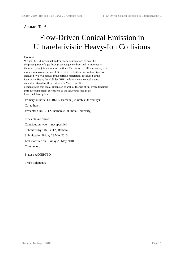## Flow-Driven Conical Emission in Ultrarelativistic Heavy-Ion Collisions

#### Content :

We use (3+1)-dimensional hydrodynamic simulations to describe the propagation of a jet through an opaque medium and to investigate the underlying jet-medium interactions. The impact of different energy and momentum loss scenarios, of different jet velocities, and system sizes are analyzed. We will discuss if the particle correlations measured at the Relativistic Heavy Ion Collider (RHIC) which show a conical shape are a clear signal for the creation of a Mach cone. It is demonstrated that radial expansion as well as the use of full hydrodynamics introduces important corrections to the structures seen in the linearized description.

Primary authors : Dr. BETZ, Barbara (Columbia University)

Co-authors :

Presenter : Dr. BETZ, Barbara (Columbia University)

Track classification :

 Contribution type : --not specified-- Submitted by : Dr. BETZ, Barbara Submitted on Friday 28 May 2010 Last modified on : Friday 28 May 2010 Comments :

Status : ACCEPTED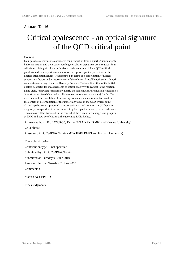## Critical opalescence - an optical signature of the QCD critical point

#### Content :

Four possible scenarios are considered for a transition from a quark-gluon matter to hadronic matter, and their corresponding correlation signatures are discussed. Four criteria are highlighted for a definitive experimental search for a QCD critical point. An old-new experimental measure, the optical opacity (or its inverse the nuclear attenuation length) is determined, in terms of a combination of nuclear suppression factors and a measurement of the relevant fireball length scales. Length scale estimates using either the Hanbury Brown -- Twiss radii or that of the initial nuclear geometry for measurements of optical opacity with respect to the reaction plane yield, somewhat surprizingly, nearly the same nuclear attenuation lenght in 0-5 % most central 200 GeV Au+Au collisions, corresponding to 2.9 \$\pm\$ 0.3 fm. The necessity and the possibility of measuring critical exponents is also discussed in the context of determination of the universality class of the QCD critical point. Critical opalescence is proposed to locate such a critical point on the QCD phase diagram, corresponding to a maximum of optical opacity in heavy ion experiments. These ideas will be discussed in the context of the current low energy scan program at RHIC and new possibilities at the upcoming FAIR facility.

Primary authors : Prof. CSöRGő, Tamás (MTA KFKI RMKI and Harvard University)

Co-authors :

Presenter : Prof. CSöRGő, Tamás (MTA KFKI RMKI and Harvard University)

Track classification :

Contribution type : --not specified--

Submitted by : Prof. CSöRGő, Tamás

Submitted on Tuesday 01 June 2010

Last modified on : Tuesday 01 June 2010

Comments :

Status : ACCEPTED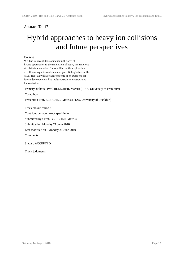## Hybrid approaches to heavy ion collisions and future perspectives

#### Content :

We discuss recent developments in the area of hybrid approaches to the simulation of heavy ion reactions at relativistic energies. Focus will be on the exploration of different equations of state and potential signature of the QGP. The talk will also address some open questions for future developments, like multi-particle interactions and hadronisation.

Primary authors : Prof. BLEICHER, Marcus (FIAS, University of Frankfurt)

Co-authors :

Presenter : Prof. BLEICHER, Marcus (FIAS, University of Frankfurt)

Track classification :

Contribution type : --not specified--

Submitted by : Prof. BLEICHER, Marcus

Submitted on Monday 21 June 2010

Last modified on : Monday 21 June 2010

Comments :

Status : ACCEPTED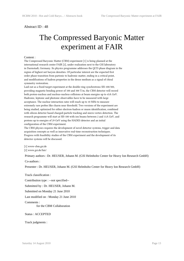## The Compressed Baryonic Matter experiment at FAIR

#### Content :

The Compressed Baryonic Matter (CBM) experiment [1] is being planned at the international research center FAIR [2], under realization next to the GSI laboratory in Darmstadt, Germany. Its physics programme addresses the QCD phase diagram in the region of highest net baryon densities. Of particular interest are the expected first order phase transition from partonic to hadronic matter, ending in a critical point, and modifications of hadron properties in the dense medium as a signal of chiral symmetry restoration.

Laid out as a fixed-target experiment at the double-ring synchrotrons SIS-100/300, providing magnetic bending power of 100 and 300 T/m, the CBM detector will record both proton-nucleus and nucleus-nucleus collisions at beam energies up to 45A GeV. Hadronic, leptonic and photonic observables have to be measured with large acceptance. The nuclear interaction rates will reach up to 10 MHz to measure extremely rare probes like charm near threshold. Two versions of the experiment are being studied, optimized for either electron-hadron or muon identification, combined with silicon detector based charged-particle tracking and micro-vertex detection. The research programme will start at SIS-100 with ion beams between 2 and 11A GeV, and protons up to energies of 29 GeV using the HADES detector and an initial configuration of the CBM experiment.

The CBM physics requires the development of novel detector systems, trigger and data acquisition concepts as well as innovative real-time reconstruction techniques. Progress with feasibility studies of the CBM experiment and the development of its detector systems will be discussed.

[1] www-cbm.gsi.de

[2] www.gsi.de/fair/

Primary authors : Dr. HEUSER, Johann M. (GSI Helmholtz Center for Heavy Ion Research GmbH)

Co-authors :

Presenter : Dr. HEUSER, Johann M. (GSI Helmholtz Center for Heavy Ion Research GmbH)

Track classification :

Contribution type : --not specified--

Submitted by : Dr. HEUSER, Johann M.

Submitted on Monday 21 June 2010

Last modified on : Monday 21 June 2010

Comments :

for the CBM Collaboration

Status : ACCEPTED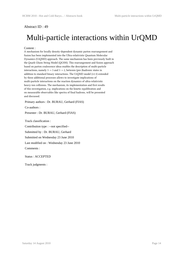## Multi-particle interactions within UrQMD

#### Content :

A mechanism for locally density-dependent dynamic parton rearrangement and fusion has been implemented into the Ultra-relativistic Quantum Molecular Dynamics (UrQMD) approach. The same mechanism has been previously built in the Quark Gluon String Model (QGSM). This rearrangement and fusion approach based on parton coalescence ideas enables the description of multi-particle interactions, namely 3 -> 3 and 3 -> 2, between (pre-)hadronic states in addition to standard binary interactions. The UrQMD model (v2.3) extended by these additional processes allows to investigate implications of multi-particle interactions on the reaction dynamics of ultra-relativistic heavy-ion collisions. The mechanism, its implementation and first results of this investigation, e.g. implications on the kinetic equilibration and on measurable observables like spectra of final hadrons, will be presented and discussed.

Primary authors : Dr. BURAU, Gerhard (FIAS)

Co-authors :

Presenter : Dr. BURAU, Gerhard (FIAS)

Track classification :

Contribution type : --not specified--

Submitted by : Dr. BURAU, Gerhard

Submitted on Wednesday 23 June 2010

Last modified on : Wednesday 23 June 2010

Comments :

Status : ACCEPTED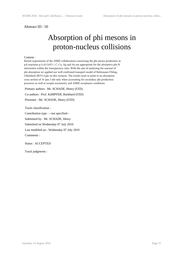## Absorption of phi mesons in proton-nucleus collisions

#### Content :

Recent experiments of the ANKE collaboration concerning the phi meson production in pA-reactions p (2.83 GeV) + C, Cu, Ag and Au are appropriate for the absorptive phi-N interaction within the trancparency ratio. With the aim of analyzing the amount of phi absorption we applied our well confirmed transport model of Boltzmann-Ühling-Uhlenbeck (BUU) type on this scenario. The results seem to point to an absorption cross section of 18 \pm 3 mb only when accounting for secundary phi production processes as well as isospin asymmetry and ANKE acceptance conditions.

 Primary authors : Mr. SCHADE, Henry (FZD) Co-authors : Prof. KäMPFER, Burkhard (FZD) Presenter : Mr. SCHADE, Henry (FZD)

 Track classification : Contribution type : --not specified-- Submitted by : Mr. SCHADE, Henry Submitted on Wednesday 07 July 2010 Last modified on : Wednesday 07 July 2010 Comments :

Status : ACCEPTED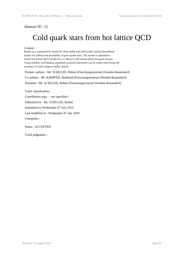## Cold quark stars from hot lattice QCD

#### Content :

Based on a quasiparticle model for \beta stable and electrically neutral deconfined matter we address the possibility of pure quark stars. The model is adjusted to recent hot lattice QCD results for 2+1 flavors with almost physical quark masses. Using stability and binding arguments general statements can be made concerning the existence of such compact stellar objects.

 Primary authors : Mr. SCHULZE, Robert (Forschungszentrum Dresden-Rossendorf) Co-authors : Mr. KäMPFER, Burkhard (Forschungszentrum Dresden-Rossendorf) Presenter : Mr. SCHULZE, Robert (Forschungszentrum Dresden-Rossendorf)

Track classification :

Contribution type : --not specified--

Submitted by : Mr. SCHULZE, Robert

Submitted on Wednesday 07 July 2010

Last modified on : Wednesday 07 July 2010

Comments :

Status : ACCEPTED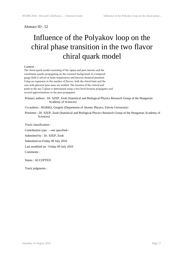## Influence of the Polyakov loop on the chiral phase transition in the two flavor chiral quark model

#### Content :

The chiral quark model consisting of the sigma and pion mesons and the constituent quarks propagating on the constant background of a temporal gauge field is solved at finite temperature and baryon chemical potential. Using an expansion in the number of flavors, both the chiral limit and the case with physical pion mass are studied. The location of the critical end point in the mu-T plane is determined using a tree-level fermion propagator and several approximations to the pion propagator.

 Primary authors : Dr. SZEP, Zsolt (Statistical and Biological Physics Research Group of the Hungarian Academy of Sciences)

Co-authors : MARKó, Gergely (Department of Atomic Physics, Eötvös University)

 Presenter : Dr. SZEP, Zsolt (Statistical and Biological Physics Research Group of the Hungarian Academy of Sciences)

Track classification :

Contribution type : --not specified--

Submitted by : Dr. SZEP, Zsolt

Submitted on Friday 09 July 2010

Last modified on : Friday 09 July 2010

Comments :

Status : ACCEPTED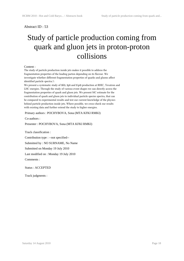## Study of particle production coming from quark and gluon jets in proton-proton collisions

#### Content :

The study of particle production inside jets makes it possible to address the fragmentation properties of the leading parton depending on its flavour. We investigate whether different fragmentation properties of quarks and gluons affect identified particle spectra.\\

We present a systematic study of \$K\$, \$p\$ and \$\pi\$ production at RHIC, Tevatron and LHC energies. Through the study of various event shapes we can directly access the fragmentation properties of quark and gluon jets. We present MC estimate for the contribution of quark and gluon jets to individual particle species spectra, that can be compared to experimental results and test our current knowledge of the physics behind particle production inside jets. Where possible, we cross-check our results with existing data and further extend the study to higher energies.

Primary authors : POCHYBOVA, Sona (MTA KFKI RMKI)

Co-authors :

Presenter : POCHYBOVA, Sona (MTA KFKI RMKI)

Track classification :

Contribution type : --not specified--

Submitted by : NO SURNAME, No Name

Submitted on Monday 19 July 2010

Last modified on : Monday 19 July 2010

Comments :

Status : ACCEPTED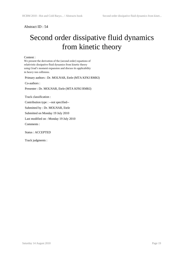## Second order dissipative fluid dynamics from kinetic theory

Content :

We present the derivation of the (second order) equations of relativistic dissipative fluid dynamics from kinetic theory using Grad's moment expansion and discuss its applicability in heavy-ion collisions.

Primary authors : Dr. MOLNAR, Etele (MTA KFKI RMKI)

Co-authors :

Presenter : Dr. MOLNAR, Etele (MTA KFKI RMKI)

Track classification :

Contribution type : --not specified--

Submitted by : Dr. MOLNAR, Etele

Submitted on Monday 19 July 2010

Last modified on : Monday 19 July 2010

Comments :

Status : ACCEPTED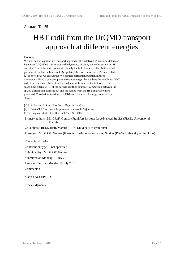## HBT radii from the UrQMD transport approach at different energies

#### Content :

We use the non-equilibrium transport approach Ultra-relativistic Quantum Molecular Dynamics (UrQMD) [1] to compute the dynamics of heavy ion collisions up to LHC energies. From this model we obtain directly the full phasespace distribution of all particles at the kinetic freeze out. By applying the Correlation After Burner (CRAB) [2] of Scott Pratt we extract the two-particle correlation function in threedimensions. Using a gaussian parametrization we get the Hanbury-Brown Twiss (HBT) radii from these correlation functions which can be interpreted in terms of the space-time extension [3] of the particle-emitting source. A comparison between the spatial distribution at freeze out and the results from the HBT analysis will be presented. Correlation functions and HBT radii for a broad energy range will be shown.

[1] S. A. Bass et al., Prog. Part. Nucl. Phys. 41 (1998) 225.

[2] S. Pratt, CRAB version 3, http://www.pa.msu.edu/\~{}pratts/

[3] S. Chapman et al., Phys. Rev. Lett. 74 (1995) 4400

#### Primary authors : Mr. GRäF, Gunnar (Frankfurt Institute for Advanced Studies (FIAS), University of Frankfurt)

Co-authors : BLEICHER, Marcus (FIAS, University of Frankfurt)

Presenter : Mr. GRäF, Gunnar (Frankfurt Institute for Advanced Studies (FIAS), University of Frankfurt)

Track classification :

Contribution type : --not specified--

Submitted by : Mr. GRäF, Gunnar

Submitted on Monday 19 July 2010

Last modified on : Monday 19 July 2010

Comments :

Status : ACCEPTED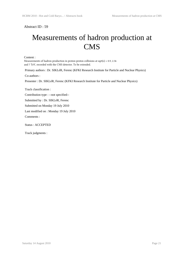## Measurements of hadron production at CMS

Content :

Measurements of hadron production in proton-proton collisions at sqrt(s) =  $0.9$ , 2.36 and 7 TeV, recorded with the CMS detector. To be extended.

Primary authors : Dr. SIKLéR, Ferenc (KFKI Research Institute for Particle and Nuclear Physics)

Co-authors :

Presenter : Dr. SIKLéR, Ferenc (KFKI Research Institute for Particle and Nuclear Physics)

Track classification :

Contribution type : --not specified--

Submitted by : Dr. SIKLéR, Ferenc

Submitted on Monday 19 July 2010

Last modified on : Monday 19 July 2010

Comments :

Status : ACCEPTED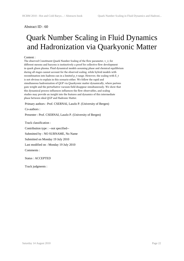## Quark Number Scaling in Fluid Dynamics and Hadronization via Quarkyonic Matter

#### Content :

The observed Constituent Quark Number Scaling of the flow parameter, v\_2, for different mesons and baryons is instinctively a proof for collective flow development in quark gluon plasma. Fluid dynamical models assuming phase and chemical equilibrium during all stages cannot account for the observed scaling, while hybrid models with recombination into hadrons can in a limited p\_t-range. However, the scaling with E\_t is not obvious to explain in this scenario either. We follow the rapid and simultaneous hadronization of QGP via Quarkyonic matter dynamically, where partons gain weight and the perturbative vacuum field disappear simultaneously. We show that this dynamical process influences influences the flow observables, and scaling studies may provide an insight into the features and dynamics of this intermediate phase between ideal QGP and Hadronic Matter.

Primary authors : Prof. CSERNAI, Laszlo P. (University of Bergen)

Co-authors :

Presenter : Prof. CSERNAI, Laszlo P. (University of Bergen)

Track classification :

 Contribution type : --not specified-- Submitted by : NO SURNAME, No Name Submitted on Monday 19 July 2010 Last modified on : Monday 19 July 2010 Comments :

Status : ACCEPTED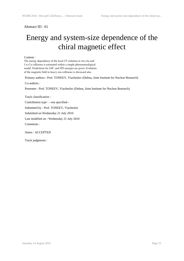## Energy and system-size dependence of the chiral magnetic effect

Content :

The energy dependence of the local CP violation in Au+Au and Cu+Cu collisions is estimated within a simple phenomenological model. Predictions for LHC and SPS energies are given. Evolution of the magnetic field in heavy-ion collisions is discussed also.

Primary authors : Prof. TONEEV, Viacheslav (Dubna, Joint Institute for Nuclear Research)

Co-authors :

Presenter : Prof. TONEEV, Viacheslav (Dubna, Joint Institute for Nuclear Research)

Track classification :

Contribution type : --not specified--

Submitted by : Prof. TONEEV, Viacheslav

Submitted on Wednesday 21 July 2010

Last modified on : Wednesday 21 July 2010

Comments :

Status : ACCEPTED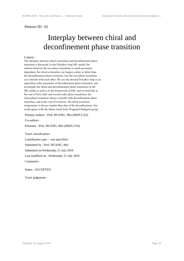## Interplay between chiral and deconfinement phase transition

#### Content :

The interplay between chiral restoration and deconfinement phase transition is discussed. In the Polyakov-loop NJL model, the relation between the two phase transitions is much parameter dependent, the chiral restoration can happen earlier or latter than the deconfinement phase transition, also the two phase transitions can coincide with each other. We use the dressed Polyakov loop as an equivalent order parameter of deconfinement phase transition, and investigate the chiral and deconfinement phase transitions in the NJL model as well as in the framework of DSE, and we find that in the case of first order and second order phase transitions, the chiral phase transition always coincide with deconfinement phase transition, and in the case of crossover, the chiral transition temperature is always smaller than that of the deconfinement. Our result agrees with the lattice result from Wuppetal-Budapest group.

Primary authors : Prof. HUANG, Mei (IHEP,CAS)

Co-authors :

Presenter : Prof. HUANG, Mei (IHEP,CAS)

Track classification :

 Contribution type : --not specified-- Submitted by : Prof. HUANG, Mei Submitted on Wednesday 21 July 2010 Last modified on : Wednesday 21 July 2010 Comments :

Status : ACCEPTED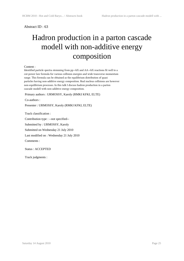## Hadron production in a parton cascade modell with non-additive energy composition

#### Content :

Identified particle spectra stemming from pp->hX and AA->hX reactions fit well to a cut-power law formula for various collision energies and wide transverse momentum range. This formula can be obtained as the equilibrium distribution of quasi particles having non-additive energy composition. Real nucleus collisions are however non-equilibrium processes. In this talk I discuss hadron production in a parton cascade modell with non-additive energy composition.

Primary authors : URMOSSY, Karoly (RMKI KFKI, ELTE)

Co-authors :

Presenter : URMOSSY, Karoly (RMKI KFKI, ELTE)

Track classification :

 Contribution type : --not specified-- Submitted by : URMOSSY, Karoly Submitted on Wednesday 21 July 2010 Last modified on : Wednesday 21 July 2010

Comments :

Status : ACCEPTED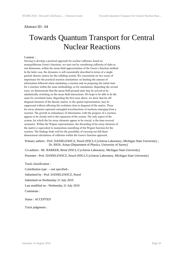### Towards Quantum Transport for Central Nuclear Reactions

#### Content :

Striving to develop a practical approach for nuclear collisions, based on nonequilibrium Green's functions, we start out by considering collisions of slabs in one dimension, within the mean-field approximation of the Green's-function method. In the latter case, the dynamics is self-consistently described in terms of a singleparticle density-matrix for the colliding system. We concentrate on two issues of importance for the practical reaction simulations: on limiting the amount of information followed when simulating a reaction and on preparing the initial state for a reaction within the same methodology as for simulations. Regarding the second issue, we demonstrate that the mean-field ground-state may be arrived at by adiabatically switching on the mean-field interactions. We hope to be able to do the same for correlated states. Regarding the first issue above, we show that far offdiagonal elements of the density matrix, in the spatial representation, may be suppressed without affecting the evolution close to diagonal of the matrix. Those far-away elements represent entangled wavefunctions of nucleons emerging from a reaction. The growth in redundancy of information, with the progress of a reaction, appears to be closely tied to the expansion of the system. The only aspect of the system, for which the far-away elements appear to be crucial, is the time-reversal symmetry. Within the Wigner representation, the discarding of far-away elements of the matrix is equivalent to momentum smoothing of the Wigner function for the reaction. The findings bode well for the possibility of carrying out full threedimensional calculations of collisions within the Green's function approach.

 Primary authors : Prof. DANIELEWICZ, Pawel (NSCL/Cyclotron Laboratory, Michigan State University) ; Dr. RIOS, Arnau (Department of Physics, University of Surrey)

Co-authors : Mr. BARKER, Brent (NSCL/Cyclotron Laboratory, Michigan State University)

Presenter : Prof. DANIELEWICZ, Pawel (NSCL/Cyclotron Laboratory, Michigan State University)

Track classification :

Contribution type : --not specified--

Submitted by : Prof. DANIELEWICZ, Pawel

Submitted on Wednesday 21 July 2010

Last modified on : Wednesday 21 July 2010

Comments :

Status : ACCEPTED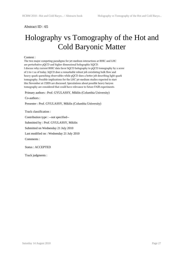## Holography vs Tomography of the Hot and Cold Baryonic Matter

#### Content :

The two major competing paradigms for jet-medium interactions at RHIC and LHC are perturbative pQCD and higher dimensional holographic hQCD. I discuss why current RHIC data favor hQCD holography to pQCD tomography by a score of 2-to-1 as of today. hQCD does a remarkable robust job correlating bulk flow and heavy quark quenching observables while pQCD does a better job describing light quark tomography. Possible implications for the LHC jet-medium studies expected to start this November at CERN are discussed. Speculations about possible heavy baryon tomography are considered that could have relevance to future FAIR experiments.

Primary authors : Prof. GYULASSY, Miklós (Columbia University)

Co-authors :

Presenter : Prof. GYULASSY, Miklós (Columbia University)

Track classification :

Contribution type : --not specified--

Submitted by : Prof. GYULASSY, Miklós

Submitted on Wednesday 21 July 2010

Last modified on : Wednesday 21 July 2010

Comments :

Status : ACCEPTED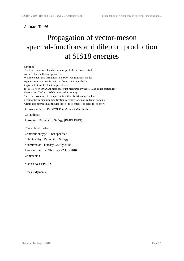## Propagation of vector-meson spectral-functions and dilepton production at SIS18 energies

#### Content :

The time evolution of vector-meson spectral-functions is studied within a kinetic theory approach. We implement this formalism in a BUU type transport model. Applications focus on \$\rho\$ and \$\omega\$ mesons being important pieces for the interpretation of the di-electron invariant mass spectrum measured by the HADES collaboration for the reaction C+C at 2 AGeV bombarding energy. Since the evolution of the spectral functions is driven by the local density, the in-medium modifications are tiny for small collision systems within this approach, as the life time of the compressed stage is too short.

Primary authors : Dr. WOLF, György (RMKI KFKI)

Co-authors :

Presenter : Dr. WOLF, György (RMKI KFKI)

Track classification :

Contribution type : --not specified--

Submitted by : Dr. WOLF, György

Submitted on Thursday 22 July 2010

Last modified on : Thursday 22 July 2010

Comments :

Status : ACCEPTED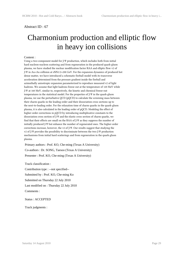### Charmonium production and elliptic flow in heavy ion collisions

#### Content :

Using a two-component model for J/Ψ production, which includes both from initial hard nucleon-nucleon scattering and from regeneration in the produced quark-gluon plasma, we have studied the nuclear modification factor RAA and elliptic flow v2 of J/Ψ in Au+Au collision at sNN1/2=200 GeV. For the expansion dynamics of produced hot dense matter, we have introduced a schematic fireball model with its transverse acceleration determined from the pressure gradient inside the fireball and azimuthally anisotropic expansion parameterized to reproduce measured v2 of light hadrons. We assume that light hadrons freeze out at the temperature of 120 MeV while J/Ψ at 160 MeV, similar to, respectively, the kinetic and chemical freeze-out temperatures in the statistical model. For the properties of J/Ψ in the quark-gluon plasma, we use the perturbative QCD (pQCD) to calculate the screening mass between their charm quarks in the leading order and their dissociation cross sections up to the next-to-leading order. For the relaxation time of charm quarks in the quark-gluon plasma, it is also calculated in the leading order of pQCD. Modeling the effect of higher-order corrections in pQCD by introducing multiplicative constants to the dissociation cross section of J/Ψ and the elastic cross section of charm quarks, we find that their effects are small on the RAA of J/Ψ as they suppress the number of initially produced J/Ψ but enhance the number of regenerated ones. The higher-order corrections increase, however, the v2 of J/Ψ. Our results suggest that studying the v2 of J/Ψ provides the possibility to discriminate between the two J/Ψ production mechanisms from initial hard scatterings and from regeneration in the quark-gluon plasma.

Primary authors : Prof. KO, Che-ming (Texas A University)

Co-authors : Dr. SONG, Taesoo (Texas A University)

Presenter : Prof. KO, Che-ming (Texas A University)

Track classification :

 Contribution type : --not specified-- Submitted by : Prof. KO, Che-ming Ko Submitted on Thursday 22 July 2010 Last modified on : Thursday 22 July 2010 Comments :

Status : ACCEPTED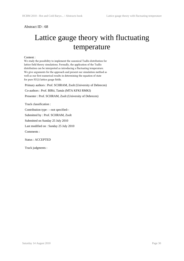## Lattice gauge theory with fluctuating temperature

#### Content :

We study the possibility to implement the canonical Tsallis distribution for lattice field theory simulations. Formally, the application of the Tsallis distribution can be interpreted as introducing a fluctuating temperature. We give arguments for the approach and present our simulation method as well as our first numerical results in determining the equation of state for pure SU(2) lattice gauge fields.

 Primary authors : Prof. SCHRAM, Zsolt (University of Debrecen) Co-authors : Prof. BIRó, Tamás (MTA KFKI RMKI)

Presenter : Prof. SCHRAM, Zsolt (University of Debrecen)

Track classification :

Contribution type : --not specified--

Submitted by : Prof. SCHRAM, Zsolt

Submitted on Sunday 25 July 2010

Last modified on : Sunday 25 July 2010

Comments :

Status : ACCEPTED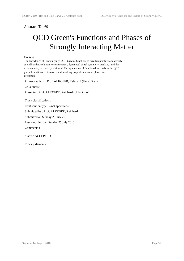## QCD Green's Functions and Phases of Strongly Interacting Matter

#### Content :

The knowledge of Landau gauge QCD Green's functions at zero temperature and density as well as their relation to confinement, dynamical chiral symmetry breaking, and the axial anomaly are briefly reviewed. The application of functional methods to the QCD phase transitions is discussed, and resulting properties of some phases are presented.

Primary authors : Prof. ALKOFER, Reinhard (Univ. Graz)

Co-authors :

Presenter : Prof. ALKOFER, Reinhard (Univ. Graz)

Track classification :

Contribution type : --not specified--

Submitted by : Prof. ALKOFER, Reinhard

Submitted on Sunday 25 July 2010

Last modified on : Sunday 25 July 2010

Comments :

Status : ACCEPTED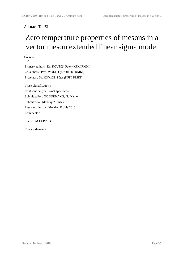## Zero temperature properties of mesons in a vector meson extended linear sigma model

Content : TBA

 Primary authors : Dr. KOVáCS, Péter (KFKI RMKI) Co-authors : Prof. WOLF, Gyuri (KFKI RMKI) Presenter : Dr. KOVáCS, Péter (KFKI RMKI)

Track classification :

 Contribution type : --not specified-- Submitted by : NO SURNAME, No Name Submitted on Monday 26 July 2010 Last modified on : Monday 26 July 2010 Comments :

Status : ACCEPTED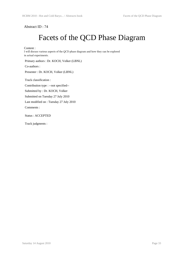## Facets of the QCD Phase Diagram

Content :

I will discuss various aspects of the QCD phase diagram and how they can be explored in actual experiments.

Primary authors : Dr. KOCH, Volker (LBNL)

Co-authors :

Presenter : Dr. KOCH, Volker (LBNL)

Track classification :

Contribution type : --not specified--

Submitted by : Dr. KOCH, Volker

Submitted on Tuesday 27 July 2010

Last modified on : Tuesday 27 July 2010

Comments :

Status : ACCEPTED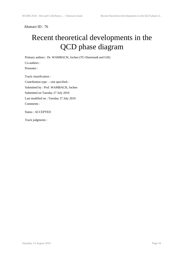## Recent theoretical developments in the QCD phase diagram

Primary authors : Dr. WAMBACH, Jochen (TU-Darmstadt and GSI)

Co-authors :

Presenter :

Track classification :

Contribution type : --not specified--

Submitted by : Prof. WAMBACH, Jochen

Submitted on Tuesday 27 July 2010

Last modified on : Tuesday 27 July 2010

Comments :

Status : ACCEPTED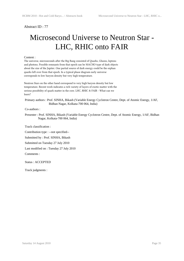## Microsecond Universe to Neutron Star - LHC, RHIC onto FAIR

#### Content :

The universe, microseconds after the Big Bang consisted of Quarks, Gluons, leptons and photons. Possible remnants from that epoch can be MACHO type of dark objects about the size of the Jupiter. One partial source of dark energy could be the orphan quarks left over from that epoch. In a typical phase diagram early universe corresponds to low baryon density but very high temperature.

Neutron Stars on the other hand correspond to very high baryon density but low temperature. Recent work indicates a rich variety of layers of exotic matter with the serious possibility of quark matter in the core. LHC, RHIC & FAIR - What can we learn?

 Primary authors : Prof. SINHA, Bikash (Variable Energy Cyclotron Centre, Dept. of Atomic Energy, 1/AF, Bidhan Nagar, Kolkata-700 064, India)

Co-authors :

 Presenter : Prof. SINHA, Bikash (Variable Energy Cyclotron Centre, Dept. of Atomic Energy, 1/AF, Bidhan Nagar, Kolkata-700 064, India)

Track classification :

Contribution type : --not specified--

Submitted by : Prof. SINHA, Bikash

Submitted on Tuesday 27 July 2010

Last modified on : Tuesday 27 July 2010

Comments :

Status : ACCEPTED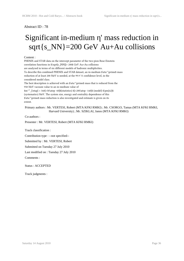## Significant in-medium η' mass reduction in sqrt{s\_NN}=200 GeV Au+Au collisions

#### Content :

PHENIX and STAR data on the intercept parameter of the two-pion Bose-Einstein correlation functions in \$\sqrt{s\_{NN}}= 200\$ GeV Au+Au collisions are analyzed in terms of six different models of hadronic multiplicities. To describe this combined PHENIX and STAR dataset, an in-medium \$\eta^\prime\$ mass reduction of at least 200 MeV is needed, at the 99.9 \% confidence level, in the considered model class. The best description is achieved with an \$\eta^\prime\$ mass that is reduced from the 958 MeV vacuum value to an in-medium value of  $\rm{\$ ^\*\_{\eta^\*} = 340\{+50\atop0} -60}\$(statistics) \${+280\atop -140}\$ (model) \$\pm{42}\$ (systematics) MeV. The system size, energy and centrality dependence of this \$\eta^\prime\$ mass reduction is also investigated and estimate is given on its extent.

#### Primary authors : Mr. VERTESI, Robert (MTA KFKI RMKI) ; Mr. CSORGO, Tamas (MTA KFKI RMKI, Harvard University) ; Mr. SZIKLAI, Janos (MTA KFKI RMKI)

#### Co-authors :

Presenter : Mr. VERTESI, Robert (MTA KFKI RMKI)

Track classification :

Contribution type : --not specified--

Submitted by : Mr. VERTESI, Robert

Submitted on Tuesday 27 July 2010

Last modified on : Tuesday 27 July 2010

Comments :

Status : ACCEPTED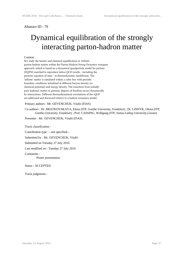## Dynamical equilibration of the strongly interacting parton-hadron matter

#### Content :

We study the kinetic and chemical equilibration in 'infinite' parton-hadron matter within the Parton-Hadron-String-Dynamics transport approach, which is based on a dynamical quasiparticle model for partons (DQPM) matched to reproduce lattice-QCD results - including the partonic equation of state - in thermodynamic equilibrium. The 'infinite' matter is simulated within a cubic box with periodic boundary conditions initialized at different baryon density (or chemical potential) and energy density. The transition from initially pure hadronic matter to partonic degrees of freedom occurs dynamically by interactions. Different thermodynamical correlations of the sQGP are addressed and discussed relative to a hadron resonance model.

Primary authors : Mr. OZVENCHUK, Vitalii (FIAS)

 Co-authors : Dr. BRATKOVSKAYA, Elena (ITP, Goethe University, Frankfurt) ; Dr. LINNYK, Olena (ITP, Goethe University, Frankfurt) ; Prof. CASSING, Wolfgang (ITP, Justus-Liebig University,Gissen)

Presenter : Mr. OZVENCHUK, Vitalii (FIAS)

Track classification :

Contribution type : --not specified--

Submitted by : Mr. OZVENCHUK, Vitalii

Submitted on Tuesday 27 July 2010

Last modified on : Tuesday 27 July 2010

Comments :

Poster presentation

Status : ACCEPTED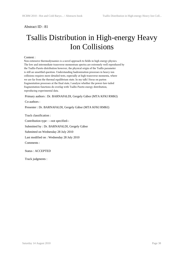## Tsallis Distribution in High-energy Heavy Ion Collisions

#### Content :

Non-extensive thermodynamics is a novel approach to fields in high energy physics. The low and intermediate transverse momentum spectra are extremely well reproduced by the Tsallis-Pareto distribution however, the physical origin of the Tsallis parameter is still an unsettled question. Understanding hadronization processes in heavy-ion collisions requires more detailed tests, especially at high transverse momenta, where we are far from the thermal equilibrium state. In my talk I focus on parton fragmentation processes at the final state, I analyze whether the power-law-tailed fragmentation functions do overlap with Tsallis-Pareto energy distribution, reproducing experimental data.

Primary authors : Dr. BARNAFöLDI, Gergely Gábor (MTA KFKI RMKI)

Co-authors :

Presenter : Dr. BARNAFöLDI, Gergely Gábor (MTA KFKI RMKI)

Track classification :

Contribution type : --not specified--

Submitted by : Dr. BARNAFöLDI, Gergely Gábor

Submitted on Wednesday 28 July 2010

Last modified on : Wednesday 28 July 2010

Comments :

Status : ACCEPTED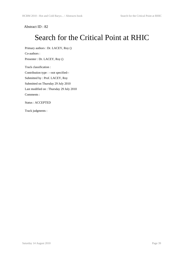## Search for the Critical Point at RHIC

 Primary authors : Dr. LACEY, Roy () Co-authors :

Presenter : Dr. LACEY, Roy ()

Track classification :

 Contribution type : --not specified-- Submitted by : Prof. LACEY, Roy Submitted on Thursday 29 July 2010 Last modified on : Thursday 29 July 2010 Comments :

Status : ACCEPTED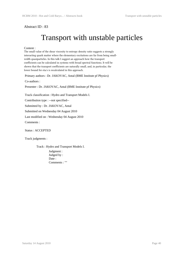### Transport with unstable particles

#### Content :

The small value of the shear viscosity to entropy density ratio suggests a strongly interacting quark matter where the elementary excitations are far from being smallwidth quasiparticles. In this talk I suggest an approach how the transport coefficients can be calculated in systems with broad spectral functions. It will be shown that the transport coefficients are naturally small, and, in particular, the lower bound for eta/s is recalculated in this approach.

Primary authors : Dr. JAKOVAC, Antal (BME Institute pf Physics)

Co-authors :

Presenter : Dr. JAKOVAC, Antal (BME Institute pf Physics)

Track classification : Hydro and Transport Models I.

Contribution type : --not specified--

Submitted by : Dr. JAKOVAC, Antal

Submitted on Wednesday 04 August 2010

Last modified on : Wednesday 04 August 2010

Comments :

Status : ACCEPTED

Track judgments :

Track : Hydro and Transport Models I.

Judgment : Judged by : Date : Comments : ""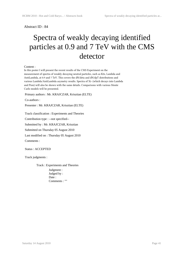## Spectra of weakly decaying identified particles at 0.9 and 7 TeV with the CMS detector

#### Content :

In this poster I will present the recent results of the CMS Experiment on the measurement of spectra of weakly decaying neutral particles, such as K0s, Lambda and AntiLambda, at 0.9 and 7 TeV. This covers the dN/deta and dN/dpT distributions and various Lambda/AntiLambda asymetry results. Spectra of Xi- (which decays into Lambda and Pion) will also be shown with the same details. Comparisons with various Monte Carlo models will be presented.

Primary authors : Mr. KRAJCZAR, Krisztian (ELTE)

Co-authors :

Presenter : Mr. KRAJCZAR, Krisztian (ELTE)

Track classification : Experiments and Theories

Contribution type : --not specified--

Submitted by : Mr. KRAJCZAR, Krisztian

Submitted on Thursday 05 August 2010

Last modified on : Thursday 05 August 2010

Comments :

Status : ACCEPTED

Track judgments :

Track : Experiments and Theories

Judgment : Judged by : Date: Comments : ""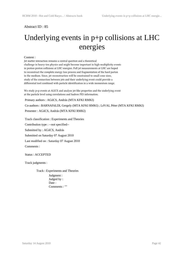## Underlying events in p+p collisions at LHC energies

#### Content :

Jet matter interaction remains a central question and a theoretical challenge in heavy-ion physics and might become important in high-multiplicity events in proton-proton collisions at LHC energies. Full jet measurements at LHC are hoped to reconstruct the complete energy loss process and fragmentation of the hard parton in the medium. Since, jet reconstruction will be constrained to small cone sizes, study of the connection between jets and their underlying event could provide a differential tool combined with particle identification in a wide momentum range.

We study p+p events at ALICE and analyse jet-like properties and the underlying event at the particle level using correlations and hadron PID information.

Primary authors : AGóCS, András (MTA KFKI RMKI)

Co-authors : BARNAFöLDI, Gergely (MTA KFKI RMKI) ; LéVAI, Péter (MTA KFKI RMKI)

Presenter : AGóCS, András (MTA KFKI RMKI)

Track classification : Experiments and Theories

Contribution type : --not specified--

Submitted by : AGóCS, András

Submitted on Saturday 07 August 2010

Last modified on : Saturday 07 August 2010

Comments :

Status : ACCEPTED

Track judgments :

Track : Experiments and Theories Judgment : Judged by : Date : Comments : ""